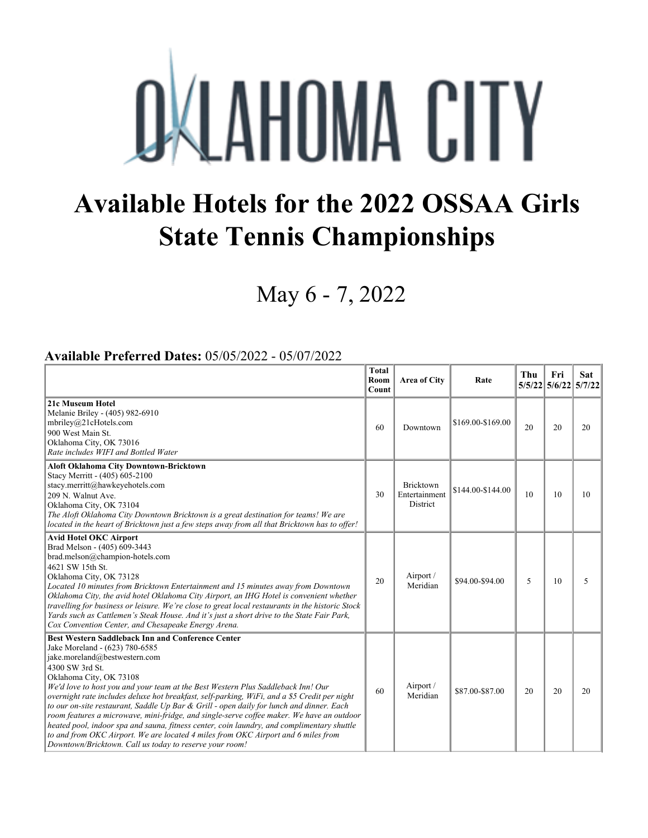## **OKLAHOMA CITY**

## **Available Hotels for the 2022 OSSAA Girls State Tennis Championships**

May 6 - 7, 2022

## **Available Preferred Dates:** 05/05/2022 - 05/07/2022

|                                                                                                                                                                                                                                                                                                                                                                                                                                                                                                                                                                                                                                                                                                                                                                                                      | <b>Total</b><br>Room<br>Count | Area of City                                  | Rate              | Thu | Fri<br>5/5/22 5/6/22 5/7/22 | <b>Sat</b> |
|------------------------------------------------------------------------------------------------------------------------------------------------------------------------------------------------------------------------------------------------------------------------------------------------------------------------------------------------------------------------------------------------------------------------------------------------------------------------------------------------------------------------------------------------------------------------------------------------------------------------------------------------------------------------------------------------------------------------------------------------------------------------------------------------------|-------------------------------|-----------------------------------------------|-------------------|-----|-----------------------------|------------|
| 21c Museum Hotel<br>Melanie Briley - (405) 982-6910<br>mbriley@21cHotels.com<br>900 West Main St.<br>Oklahoma City, OK 73016<br>Rate includes WIFI and Bottled Water                                                                                                                                                                                                                                                                                                                                                                                                                                                                                                                                                                                                                                 | 60                            | Downtown                                      | \$169.00-\$169.00 | 20  | 20                          | 20         |
| Aloft Oklahoma City Downtown-Bricktown<br>Stacy Merritt - (405) 605-2100<br>stacy.merritt@hawkeyehotels.com<br>209 N. Walnut Ave.<br>Oklahoma City, OK 73104<br>The Aloft Oklahoma City Downtown Bricktown is a great destination for teams! We are<br>located in the heart of Bricktown just a few steps away from all that Bricktown has to offer!                                                                                                                                                                                                                                                                                                                                                                                                                                                 | 30                            | Bricktown<br>Entertainment<br><b>District</b> | \$144.00-\$144.00 | 10  | 10                          | 10         |
| <b>Avid Hotel OKC Airport</b><br>Brad Melson - (405) 609-3443<br>brad.melson@champion-hotels.com<br>4621 SW 15th St.<br>Oklahoma City, OK 73128<br>Located 10 minutes from Bricktown Entertainment and 15 minutes away from Downtown<br>Oklahoma City, the avid hotel Oklahoma City Airport, an IHG Hotel is convenient whether<br>travelling for business or leisure. We're close to great local restaurants in the historic Stock<br>Yards such as Cattlemen's Steak House. And it's just a short drive to the State Fair Park,<br>Cox Convention Center, and Chesapeake Energy Arena.                                                                                                                                                                                                             | 20                            | Airport /<br>Meridian                         | \$94.00-\$94.00   | 5   | 10                          | 5          |
| <b>Best Western Saddleback Inn and Conference Center</b><br>Jake Moreland - (623) 780-6585<br>jake.moreland@bestwestern.com<br>4300 SW 3rd St.<br>Oklahoma City, OK 73108<br>We'd love to host you and your team at the Best Western Plus Saddleback Inn! Our<br>overnight rate includes deluxe hot breakfast, self-parking, WiFi, and a \$5 Credit per night<br>to our on-site restaurant, Saddle Up Bar & Grill - open daily for lunch and dinner. Each<br>room features a microwave, mini-fridge, and single-serve coffee maker. We have an outdoor<br>heated pool, indoor spa and sauna, fitness center, coin laundry, and complimentary shuttle<br>to and from OKC Airport. We are located 4 miles from OKC Airport and 6 miles from<br>Downtown/Bricktown. Call us today to reserve your room! | 60                            | Airport /<br>Meridian                         | \$87.00-\$87.00   | 20  | 20                          | 20         |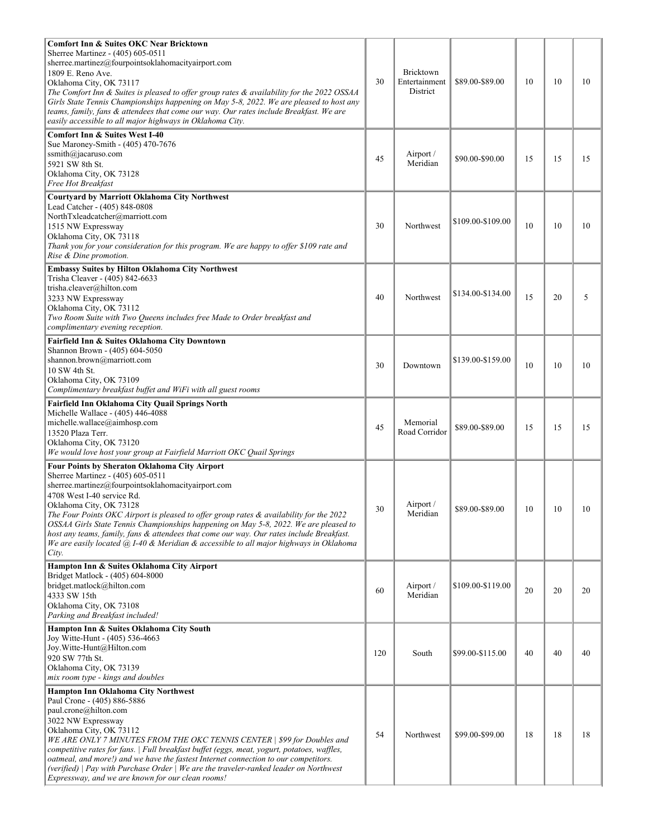| <b>Comfort Inn &amp; Suites OKC Near Bricktown</b><br>Sherree Martinez - (405) 605-0511<br>sherree.martinez@fourpointsoklahomacityairport.com<br>1809 E. Reno Ave.<br>Oklahoma City, OK 73117<br>The Comfort Inn & Suites is pleased to offer group rates & availability for the 2022 OSSAA<br>Girls State Tennis Championships happening on May 5-8, 2022. We are pleased to host any<br>teams, family, fans & attendees that come our way. Our rates include Breakfast. We are<br>easily accessible to all major highways in Oklahoma City.                                             | 30  | Bricktown<br>Entertainment<br>District | \$89.00-\$89.00   | 10 | 10 | 10 |
|-------------------------------------------------------------------------------------------------------------------------------------------------------------------------------------------------------------------------------------------------------------------------------------------------------------------------------------------------------------------------------------------------------------------------------------------------------------------------------------------------------------------------------------------------------------------------------------------|-----|----------------------------------------|-------------------|----|----|----|
| <b>Comfort Inn &amp; Suites West I-40</b><br>Sue Maroney-Smith - (405) 470-7676<br>ssmith@jacaruso.com<br>5921 SW 8th St.<br>Oklahoma City, OK 73128<br>Free Hot Breakfast                                                                                                                                                                                                                                                                                                                                                                                                                | 45  | Airport /<br>Meridian                  | \$90.00-\$90.00   | 15 | 15 | 15 |
| Courtyard by Marriott Oklahoma City Northwest<br>Lead Catcher - (405) 848-0808<br>NorthTxleadcatcher@marriott.com<br>1515 NW Expressway<br>Oklahoma City, OK 73118<br>Thank you for your consideration for this program. We are happy to offer \$109 rate and<br>Rise & Dine promotion.                                                                                                                                                                                                                                                                                                   | 30  | Northwest                              | \$109.00-\$109.00 | 10 | 10 | 10 |
| <b>Embassy Suites by Hilton Oklahoma City Northwest</b><br>Trisha Cleaver - (405) 842-6633<br>trisha.cleaver@hilton.com<br>3233 NW Expressway<br>Oklahoma City, OK 73112<br>Two Room Suite with Two Queens includes free Made to Order breakfast and<br>complimentary evening reception.                                                                                                                                                                                                                                                                                                  | 40  | Northwest                              | \$134.00-\$134.00 | 15 | 20 | 5  |
| Fairfield Inn & Suites Oklahoma City Downtown<br>Shannon Brown - (405) 604-5050<br>shannon.brown@marriott.com<br>10 SW 4th St.<br>Oklahoma City, OK 73109<br>Complimentary breakfast buffet and WiFi with all guest rooms                                                                                                                                                                                                                                                                                                                                                                 | 30  | Downtown                               | \$139.00-\$159.00 | 10 | 10 | 10 |
| Fairfield Inn Oklahoma City Quail Springs North<br>Michelle Wallace - (405) 446-4088<br>michelle.wallace@aimhosp.com<br>13520 Plaza Terr.<br>Oklahoma City, OK 73120<br>We would love host your group at Fairfield Marriott OKC Quail Springs                                                                                                                                                                                                                                                                                                                                             | 45  | Memorial<br>Road Corridor              | \$89.00-\$89.00   | 15 | 15 | 15 |
| Four Points by Sheraton Oklahoma City Airport<br>Sherree Martinez - (405) 605-0511<br>sherree.martinez@fourpointsoklahomacityairport.com<br>4708 West I-40 service Rd.<br>Oklahoma City, OK 73128<br>The Four Points OKC Airport is pleased to offer group rates & availability for the 2022<br>OSSAA Girls State Tennis Championships happening on May 5-8, 2022. We are pleased to<br>host any teams, family, fans & attendees that come our way. Our rates include Breakfast.<br>We are easily located $(a)$ , I-40 & Meridian & accessible to all major highways in Oklahoma<br>City. | 30  | Airport /<br>Meridian                  | \$89.00-\$89.00   | 10 | 10 | 10 |
| Hampton Inn & Suites Oklahoma City Airport<br>Bridget Matlock - (405) 604-8000<br>bridget.matlock@hilton.com<br>4333 SW 15th<br>Oklahoma City, OK 73108<br>Parking and Breakfast included!                                                                                                                                                                                                                                                                                                                                                                                                | 60  | Airport /<br>Meridian                  | \$109.00-\$119.00 | 20 | 20 | 20 |
| Hampton Inn & Suites Oklahoma City South<br>Joy Witte-Hunt - (405) 536-4663<br>Joy.Witte-Hunt@Hilton.com<br>920 SW 77th St.<br>Oklahoma City, OK 73139<br>mix room type - kings and doubles                                                                                                                                                                                                                                                                                                                                                                                               | 120 | South                                  | \$99.00-\$115.00  | 40 | 40 | 40 |
| Hampton Inn Oklahoma City Northwest<br>Paul Crone - (405) 886-5886<br>paul.crone@hilton.com<br>3022 NW Expressway<br>Oklahoma City, OK 73112<br>WE ARE ONLY 7 MINUTES FROM THE OKC TENNIS CENTER   \$99 for Doubles and<br>competitive rates for fans.   Full breakfast buffet (eggs, meat, yogurt, potatoes, waffles,<br>oatmeal, and more!) and we have the fastest Internet connection to our competitors.<br>(verified)   Pay with Purchase Order   We are the traveler-ranked leader on Northwest<br>Expressway, and we are known for our clean rooms!                               | 54  | Northwest                              | \$99.00-\$99.00   | 18 | 18 | 18 |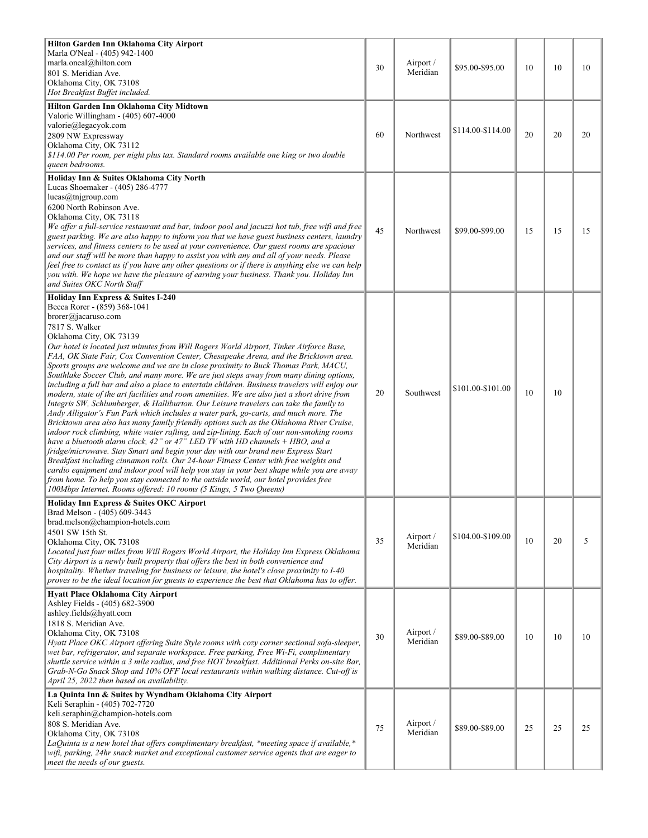| Hilton Garden Inn Oklahoma City Airport<br>Marla O'Neal - (405) 942-1400<br>marla.oneal@hilton.com<br>801 S. Meridian Ave.<br>Oklahoma City, OK 73108<br>Hot Breakfast Buffet included.<br>Hilton Garden Inn Oklahoma City Midtown                                                                                                                                                                                                                                                                                                                                                                                                                                                                                                                                                                                                                                                                                                                                                                                                                                                                                                                                                                                                                                                                                                                                                                                                                                                                                                                                                                               | 30 | Airport /<br>Meridian | \$95.00-\$95.00   | 10 | 10 | 10 |
|------------------------------------------------------------------------------------------------------------------------------------------------------------------------------------------------------------------------------------------------------------------------------------------------------------------------------------------------------------------------------------------------------------------------------------------------------------------------------------------------------------------------------------------------------------------------------------------------------------------------------------------------------------------------------------------------------------------------------------------------------------------------------------------------------------------------------------------------------------------------------------------------------------------------------------------------------------------------------------------------------------------------------------------------------------------------------------------------------------------------------------------------------------------------------------------------------------------------------------------------------------------------------------------------------------------------------------------------------------------------------------------------------------------------------------------------------------------------------------------------------------------------------------------------------------------------------------------------------------------|----|-----------------------|-------------------|----|----|----|
| Valorie Willingham - (405) 607-4000<br>valorie@legacyok.com<br>2809 NW Expressway<br>Oklahoma City, OK 73112<br>\$114.00 Per room, per night plus tax. Standard rooms available one king or two double<br>queen bedrooms.                                                                                                                                                                                                                                                                                                                                                                                                                                                                                                                                                                                                                                                                                                                                                                                                                                                                                                                                                                                                                                                                                                                                                                                                                                                                                                                                                                                        | 60 | Northwest             | \$114.00-\$114.00 | 20 | 20 | 20 |
| Holiday Inn & Suites Oklahoma City North<br>Lucas Shoemaker - (405) 286-4777<br>lucas@tnjgroup.com<br>6200 North Robinson Ave.<br>Oklahoma City, OK 73118<br>We offer a full-service restaurant and bar, indoor pool and jacuzzi hot tub, free wifi and free<br>guest parking. We are also happy to inform you that we have guest business centers, laundry<br>services, and fitness centers to be used at your convenience. Our guest rooms are spacious<br>and our staff will be more than happy to assist you with any and all of your needs. Please<br>feel free to contact us if you have any other questions or if there is anything else we can help<br>you with. We hope we have the pleasure of earning your business. Thank you. Holiday Inn<br>and Suites OKC North Staff                                                                                                                                                                                                                                                                                                                                                                                                                                                                                                                                                                                                                                                                                                                                                                                                                             | 45 | Northwest             | \$99.00-\$99.00   | 15 | 15 | 15 |
| Holiday Inn Express & Suites I-240<br>Becca Rorer - (859) 368-1041<br>brorer@jacaruso.com<br>7817 S. Walker<br>Oklahoma City, OK 73139<br>Our hotel is located just minutes from Will Rogers World Airport, Tinker Airforce Base,<br>FAA, OK State Fair, Cox Convention Center, Chesapeake Arena, and the Bricktown area.<br>Sports groups are welcome and we are in close proximity to Buck Thomas Park, MACU,<br>Southlake Soccer Club, and many more. We are just steps away from many dining options,<br>including a full bar and also a place to entertain children. Business travelers will enjoy our<br>modern, state of the art facilities and room amenities. We are also just a short drive from<br>Integris SW, Schlumberger, & Halliburton. Our Leisure travelers can take the family to<br>Andy Alligator's Fun Park which includes a water park, go-carts, and much more. The<br>Bricktown area also has many family friendly options such as the Oklahoma River Cruise,<br>indoor rock climbing, white water rafting, and zip-lining. Each of our non-smoking rooms<br>have a bluetooth alarm clock, $42$ " or $47$ " LED TV with HD channels $+$ HBO, and a<br>fridge/microwave. Stay Smart and begin your day with our brand new Express Start<br>Breakfast including cinnamon rolls. Our 24-hour Fitness Center with free weights and<br>cardio equipment and indoor pool will help you stay in your best shape while you are away<br>from home. To help you stay connected to the outside world, our hotel provides free<br>100Mbps Internet. Rooms offered: 10 rooms (5 Kings, 5 Two Queens) | 20 | Southwest             | \$101.00-\$101.00 | 10 | 10 |    |
| Holiday Inn Express & Suites OKC Airport<br>Brad Melson - (405) 609-3443<br>brad.melson@champion-hotels.com<br>4501 SW 15th St.<br>Oklahoma City, OK 73108<br>Located just four miles from Will Rogers World Airport, the Holiday Inn Express Oklahoma<br>City Airport is a newly built property that offers the best in both convenience and<br>hospitality. Whether traveling for business or leisure, the hotel's close proximity to I-40<br>proves to be the ideal location for guests to experience the best that Oklahoma has to offer.                                                                                                                                                                                                                                                                                                                                                                                                                                                                                                                                                                                                                                                                                                                                                                                                                                                                                                                                                                                                                                                                    | 35 | Airport /<br>Meridian | \$104.00-\$109.00 | 10 | 20 | 5  |
| <b>Hyatt Place Oklahoma City Airport</b><br>Ashley Fields - (405) 682-3900<br>ashley.fields@hyatt.com<br>1818 S. Meridian Ave.<br>Oklahoma City, OK 73108<br>Hyatt Place OKC Airport offering Suite Style rooms with cozy corner sectional sofa-sleeper,<br>wet bar, refrigerator, and separate workspace. Free parking, Free Wi-Fi, complimentary<br>shuttle service within a 3 mile radius, and free HOT breakfast. Additional Perks on-site Bar,<br>Grab-N-Go Snack Shop and 10% OFF local restaurants within walking distance. Cut-off is<br>April 25, 2022 then based on availability.                                                                                                                                                                                                                                                                                                                                                                                                                                                                                                                                                                                                                                                                                                                                                                                                                                                                                                                                                                                                                      | 30 | Airport /<br>Meridian | \$89.00-\$89.00   | 10 | 10 | 10 |
| La Quinta Inn & Suites by Wyndham Oklahoma City Airport<br>Keli Seraphin - (405) 702-7720<br>keli.seraphin@champion-hotels.com<br>808 S. Meridian Ave.<br>Oklahoma City, OK 73108<br>LaQuinta is a new hotel that offers complimentary breakfast, *meeting space if available,*<br>wifi, parking, 24hr snack market and exceptional customer service agents that are eager to<br>meet the needs of our guests.                                                                                                                                                                                                                                                                                                                                                                                                                                                                                                                                                                                                                                                                                                                                                                                                                                                                                                                                                                                                                                                                                                                                                                                                   | 75 | Airport /<br>Meridian | \$89.00-\$89.00   | 25 | 25 | 25 |